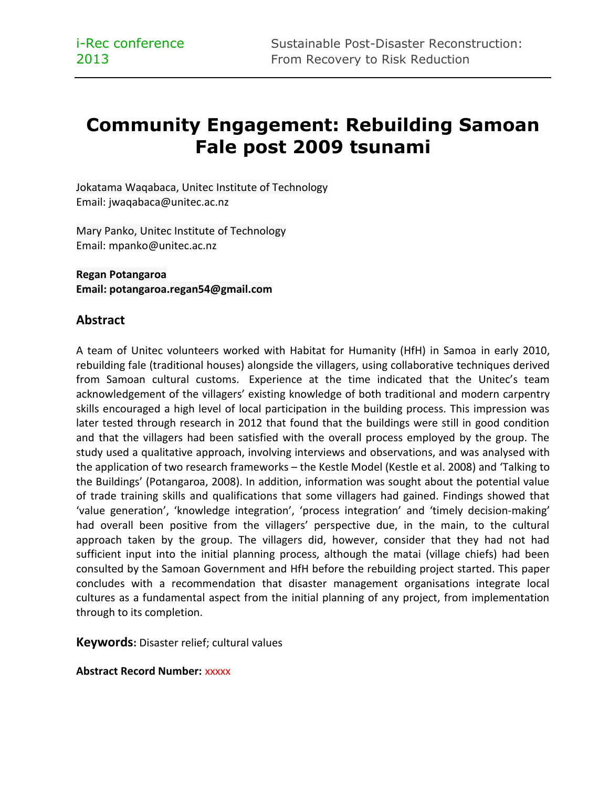# **Community Engagement: Rebuilding Samoan Fale post 2009 tsunami**

Jokatama Waqabaca, Unitec Institute of Technology Email: jwaqabaca@unitec.ac.nz

Mary Panko, Unitec Institute of Technology Email: mpanko@unitec.ac.nz

**Regan Potangaroa Email: potangaroa.regan54@gmail.com**

#### **Abstract**

A team of Unitec volunteers worked with Habitat for Humanity (HfH) in Samoa in early 2010, rebuilding fale (traditional houses) alongside the villagers, using collaborative techniques derived from Samoan cultural customs. Experience at the time indicated that the Unitec's team acknowledgement of the villagers' existing knowledge of both traditional and modern carpentry skills encouraged a high level of local participation in the building process. This impression was later tested through research in 2012 that found that the buildings were still in good condition and that the villagers had been satisfied with the overall process employed by the group. The study used a qualitative approach, involving interviews and observations, and was analysed with the application of two research frameworks – the Kestle Model (Kestle et al. 2008) and 'Talking to the Buildings' (Potangaroa, 2008). In addition, information was sought about the potential value of trade training skills and qualifications that some villagers had gained. Findings showed that 'value generation', 'knowledge integration', 'process integration' and 'timely decision-making' had overall been positive from the villagers' perspective due, in the main, to the cultural approach taken by the group. The villagers did, however, consider that they had not had sufficient input into the initial planning process, although the matai (village chiefs) had been consulted by the Samoan Government and HfH before the rebuilding project started. This paper concludes with a recommendation that disaster management organisations integrate local cultures as a fundamental aspect from the initial planning of any project, from implementation through to its completion.

**Keywords:** Disaster relief; cultural values

**Abstract Record Number:** xxxxx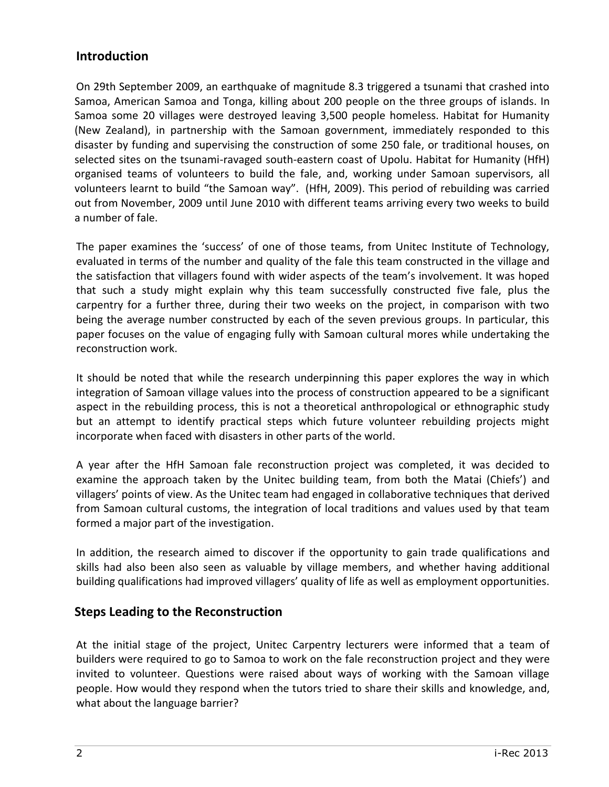### **Introduction**

On 29th September 2009, an earthquake of magnitude 8.3 triggered a tsunami that crashed into Samoa, American Samoa and Tonga, killing about 200 people on the three groups of islands. In Samoa some 20 villages were destroyed leaving 3,500 people homeless. Habitat for Humanity (New Zealand), in partnership with the Samoan government, immediately responded to this disaster by funding and supervising the construction of some 250 fale, or traditional houses, on selected sites on the tsunami-ravaged south-eastern coast of Upolu. Habitat for Humanity (HfH) organised teams of volunteers to build the fale, and, working under Samoan supervisors, all volunteers learnt to build "the Samoan way". (HfH, 2009). This period of rebuilding was carried out from November, 2009 until June 2010 with different teams arriving every two weeks to build a number of fale.

The paper examines the 'success' of one of those teams, from Unitec Institute of Technology, evaluated in terms of the number and quality of the fale this team constructed in the village and the satisfaction that villagers found with wider aspects of the team's involvement. It was hoped that such a study might explain why this team successfully constructed five fale, plus the carpentry for a further three, during their two weeks on the project, in comparison with two being the average number constructed by each of the seven previous groups. In particular, this paper focuses on the value of engaging fully with Samoan cultural mores while undertaking the reconstruction work.

It should be noted that while the research underpinning this paper explores the way in which integration of Samoan village values into the process of construction appeared to be a significant aspect in the rebuilding process, this is not a theoretical anthropological or ethnographic study but an attempt to identify practical steps which future volunteer rebuilding projects might incorporate when faced with disasters in other parts of the world.

A year after the HfH Samoan fale reconstruction project was completed, it was decided to examine the approach taken by the Unitec building team, from both the Matai (Chiefs') and villagers' points of view. As the Unitec team had engaged in collaborative techniques that derived from Samoan cultural customs, the integration of local traditions and values used by that team formed a major part of the investigation.

In addition, the research aimed to discover if the opportunity to gain trade qualifications and skills had also been also seen as valuable by village members, and whether having additional building qualifications had improved villagers' quality of life as well as employment opportunities.

# **Steps Leading to the Reconstruction**

At the initial stage of the project, Unitec Carpentry lecturers were informed that a team of builders were required to go to Samoa to work on the fale reconstruction project and they were invited to volunteer. Questions were raised about ways of working with the Samoan village people. How would they respond when the tutors tried to share their skills and knowledge, and, what about the language barrier?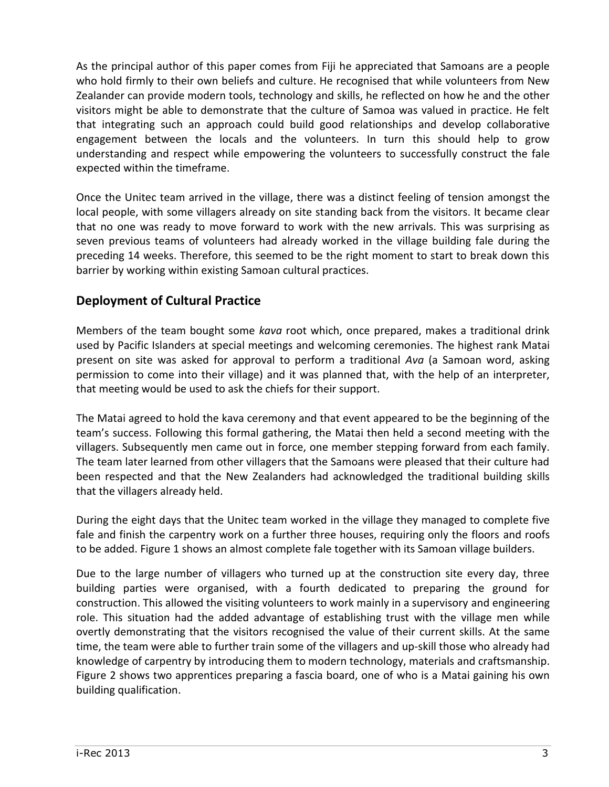As the principal author of this paper comes from Fiji he appreciated that Samoans are a people who hold firmly to their own beliefs and culture. He recognised that while volunteers from New Zealander can provide modern tools, technology and skills, he reflected on how he and the other visitors might be able to demonstrate that the culture of Samoa was valued in practice. He felt that integrating such an approach could build good relationships and develop collaborative engagement between the locals and the volunteers. In turn this should help to grow understanding and respect while empowering the volunteers to successfully construct the fale expected within the timeframe.

Once the Unitec team arrived in the village, there was a distinct feeling of tension amongst the local people, with some villagers already on site standing back from the visitors. It became clear that no one was ready to move forward to work with the new arrivals. This was surprising as seven previous teams of volunteers had already worked in the village building fale during the preceding 14 weeks. Therefore, this seemed to be the right moment to start to break down this barrier by working within existing Samoan cultural practices.

# **Deployment of Cultural Practice**

Members of the team bought some *kava* root which, once prepared, makes a traditional drink used by Pacific Islanders at special meetings and welcoming ceremonies. The highest rank Matai present on site was asked for approval to perform a traditional *Ava* (a Samoan word, asking permission to come into their village) and it was planned that, with the help of an interpreter, that meeting would be used to ask the chiefs for their support.

The Matai agreed to hold the kava ceremony and that event appeared to be the beginning of the team's success. Following this formal gathering, the Matai then held a second meeting with the villagers. Subsequently men came out in force, one member stepping forward from each family. The team later learned from other villagers that the Samoans were pleased that their culture had been respected and that the New Zealanders had acknowledged the traditional building skills that the villagers already held.

During the eight days that the Unitec team worked in the village they managed to complete five fale and finish the carpentry work on a further three houses, requiring only the floors and roofs to be added. Figure 1 shows an almost complete fale together with its Samoan village builders.

Due to the large number of villagers who turned up at the construction site every day, three building parties were organised, with a fourth dedicated to preparing the ground for construction. This allowed the visiting volunteers to work mainly in a supervisory and engineering role. This situation had the added advantage of establishing trust with the village men while overtly demonstrating that the visitors recognised the value of their current skills. At the same time, the team were able to further train some of the villagers and up-skill those who already had knowledge of carpentry by introducing them to modern technology, materials and craftsmanship. Figure 2 shows two apprentices preparing a fascia board, one of who is a Matai gaining his own building qualification.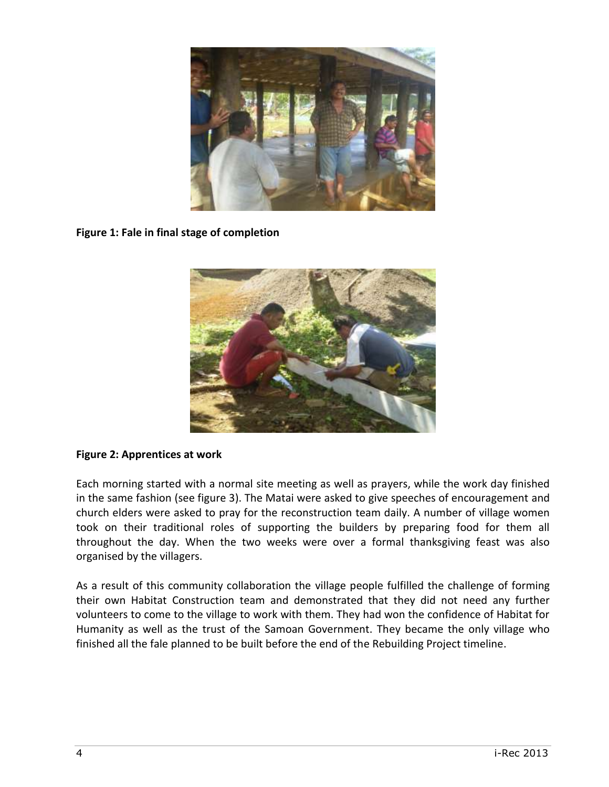

**Figure 1: Fale in final stage of completion**



#### **Figure 2: Apprentices at work**

Each morning started with a normal site meeting as well as prayers, while the work day finished in the same fashion (see figure 3). The Matai were asked to give speeches of encouragement and church elders were asked to pray for the reconstruction team daily. A number of village women took on their traditional roles of supporting the builders by preparing food for them all throughout the day. When the two weeks were over a formal thanksgiving feast was also organised by the villagers.

As a result of this community collaboration the village people fulfilled the challenge of forming their own Habitat Construction team and demonstrated that they did not need any further volunteers to come to the village to work with them. They had won the confidence of Habitat for Humanity as well as the trust of the Samoan Government. They became the only village who finished all the fale planned to be built before the end of the Rebuilding Project timeline.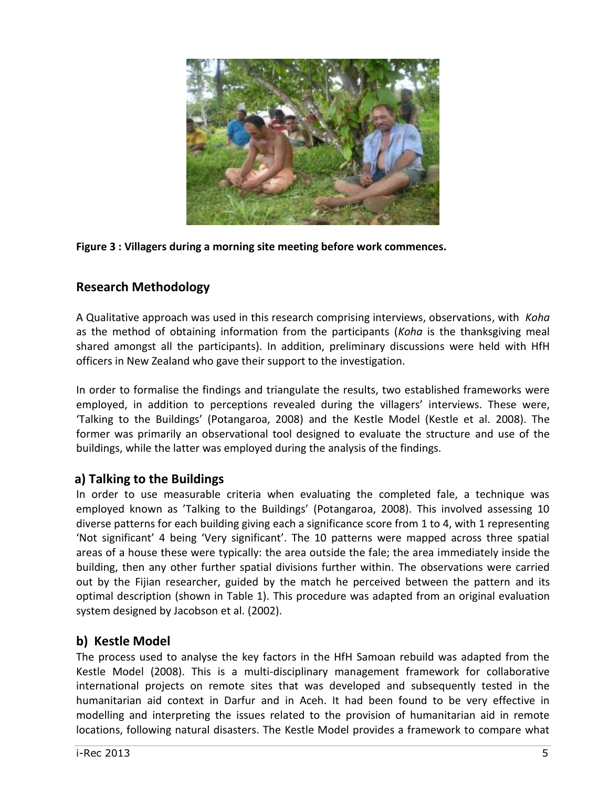

**Figure 3 : Villagers during a morning site meeting before work commences.**

# **Research Methodology**

A Qualitative approach was used in this research comprising interviews, observations, with *Koha* as the method of obtaining information from the participants (*Koha* is the thanksgiving meal shared amongst all the participants). In addition, preliminary discussions were held with HfH officers in New Zealand who gave their support to the investigation.

In order to formalise the findings and triangulate the results, two established frameworks were employed, in addition to perceptions revealed during the villagers' interviews. These were, 'Talking to the Buildings' (Potangaroa, 2008) and the Kestle Model (Kestle et al. 2008). The former was primarily an observational tool designed to evaluate the structure and use of the buildings, while the latter was employed during the analysis of the findings.

# **a) Talking to the Buildings**

In order to use measurable criteria when evaluating the completed fale, a technique was employed known as 'Talking to the Buildings' (Potangaroa, 2008). This involved assessing 10 diverse patterns for each building giving each a significance score from 1 to 4, with 1 representing 'Not significant' 4 being 'Very significant'. The 10 patterns were mapped across three spatial areas of a house these were typically: the area outside the fale; the area immediately inside the building, then any other further spatial divisions further within. The observations were carried out by the Fijian researcher, guided by the match he perceived between the pattern and its optimal description (shown in Table 1). This procedure was adapted from an original evaluation system designed by Jacobson et al. (2002).

# **b) Kestle Model**

The process used to analyse the key factors in the HfH Samoan rebuild was adapted from the Kestle Model (2008). This is a multi-disciplinary management framework for collaborative international projects on remote sites that was developed and subsequently tested in the humanitarian aid context in Darfur and in Aceh. It had been found to be very effective in modelling and interpreting the issues related to the provision of humanitarian aid in remote locations, following natural disasters. The Kestle Model provides a framework to compare what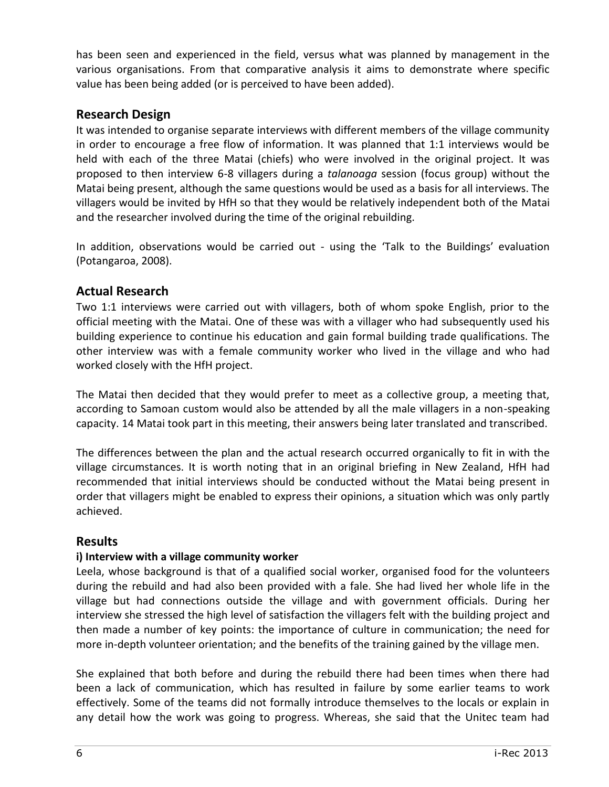has been seen and experienced in the field, versus what was planned by management in the various organisations. From that comparative analysis it aims to demonstrate where specific value has been being added (or is perceived to have been added).

# **Research Design**

It was intended to organise separate interviews with different members of the village community in order to encourage a free flow of information. It was planned that 1:1 interviews would be held with each of the three Matai (chiefs) who were involved in the original project. It was proposed to then interview 6-8 villagers during a *talanoaga* session (focus group) without the Matai being present, although the same questions would be used as a basis for all interviews. The villagers would be invited by HfH so that they would be relatively independent both of the Matai and the researcher involved during the time of the original rebuilding.

In addition, observations would be carried out - using the 'Talk to the Buildings' evaluation (Potangaroa, 2008).

# **Actual Research**

Two 1:1 interviews were carried out with villagers, both of whom spoke English, prior to the official meeting with the Matai. One of these was with a villager who had subsequently used his building experience to continue his education and gain formal building trade qualifications. The other interview was with a female community worker who lived in the village and who had worked closely with the HfH project.

The Matai then decided that they would prefer to meet as a collective group, a meeting that, according to Samoan custom would also be attended by all the male villagers in a non-speaking capacity. 14 Matai took part in this meeting, their answers being later translated and transcribed.

The differences between the plan and the actual research occurred organically to fit in with the village circumstances. It is worth noting that in an original briefing in New Zealand, HfH had recommended that initial interviews should be conducted without the Matai being present in order that villagers might be enabled to express their opinions, a situation which was only partly achieved.

#### **Results**

#### **i) Interview with a village community worker**

Leela, whose background is that of a qualified social worker, organised food for the volunteers during the rebuild and had also been provided with a fale. She had lived her whole life in the village but had connections outside the village and with government officials. During her interview she stressed the high level of satisfaction the villagers felt with the building project and then made a number of key points: the importance of culture in communication; the need for more in-depth volunteer orientation; and the benefits of the training gained by the village men.

She explained that both before and during the rebuild there had been times when there had been a lack of communication, which has resulted in failure by some earlier teams to work effectively. Some of the teams did not formally introduce themselves to the locals or explain in any detail how the work was going to progress. Whereas, she said that the Unitec team had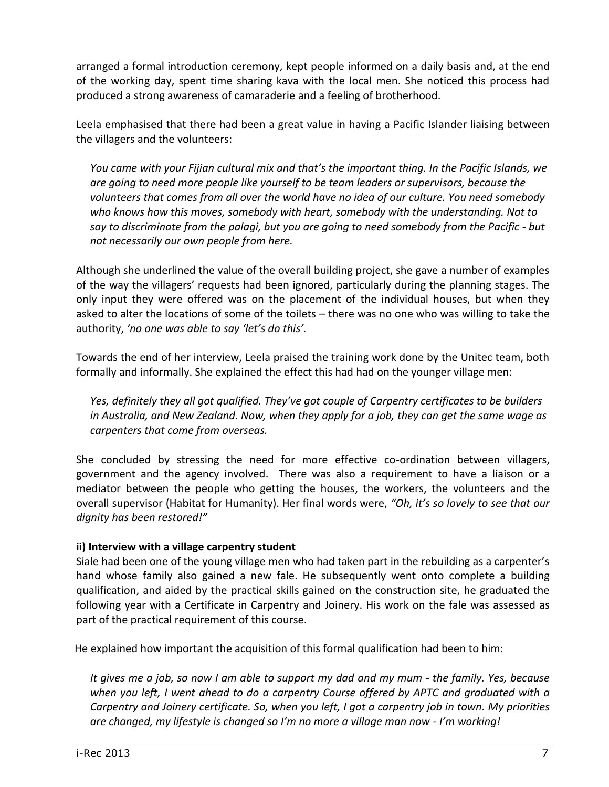arranged a formal introduction ceremony, kept people informed on a daily basis and, at the end of the working day, spent time sharing kava with the local men. She noticed this process had produced a strong awareness of camaraderie and a feeling of brotherhood.

Leela emphasised that there had been a great value in having a Pacific Islander liaising between the villagers and the volunteers:

*You came with your Fijian cultural mix and that's the important thing. In the Pacific Islands, we are going to need more people like yourself to be team leaders or supervisors, because the volunteers that comes from all over the world have no idea of our culture. You need somebody who knows how this moves, somebody with heart, somebody with the understanding. Not to say to discriminate from the palagi, but you are going to need somebody from the Pacific - but not necessarily our own people from here.*

Although she underlined the value of the overall building project, she gave a number of examples of the way the villagers' requests had been ignored, particularly during the planning stages. The only input they were offered was on the placement of the individual houses, but when they asked to alter the locations of some of the toilets – there was no one who was willing to take the authority, *'no one was able to say 'let's do this'.*

Towards the end of her interview, Leela praised the training work done by the Unitec team, both formally and informally. She explained the effect this had had on the younger village men:

*Yes, definitely they all got qualified. They've got couple of Carpentry certificates to be builders in Australia, and New Zealand. Now, when they apply for a job, they can get the same wage as carpenters that come from overseas.* 

She concluded by stressing the need for more effective co-ordination between villagers, government and the agency involved. There was also a requirement to have a liaison or a mediator between the people who getting the houses, the workers, the volunteers and the overall supervisor (Habitat for Humanity). Her final words were, *"Oh, it's so lovely to see that our dignity has been restored!"*

#### **ii) Interview with a village carpentry student**

Siale had been one of the young village men who had taken part in the rebuilding as a carpenter's hand whose family also gained a new fale. He subsequently went onto complete a building qualification, and aided by the practical skills gained on the construction site, he graduated the following year with a Certificate in Carpentry and Joinery. His work on the fale was assessed as part of the practical requirement of this course.

He explained how important the acquisition of this formal qualification had been to him:

*It gives me a job, so now I am able to support my dad and my mum - the family. Yes, because when you left, I went ahead to do a carpentry Course offered by APTC and graduated with a Carpentry and Joinery certificate. So, when you left, I got a carpentry job in town. My priorities are changed, my lifestyle is changed so I'm no more a village man now - I'm working!*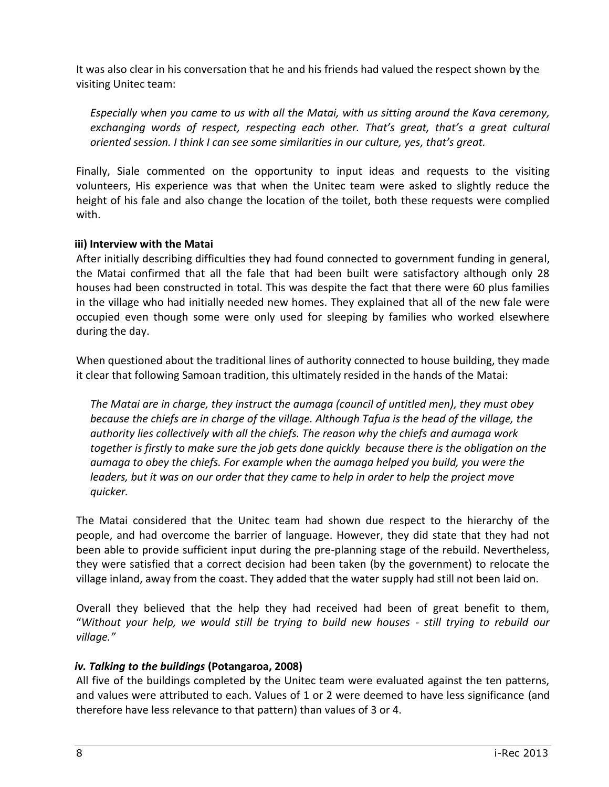It was also clear in his conversation that he and his friends had valued the respect shown by the visiting Unitec team:

*Especially when you came to us with all the Matai, with us sitting around the Kava ceremony, exchanging words of respect, respecting each other. That's great, that's a great cultural oriented session. I think I can see some similarities in our culture, yes, that's great.* 

Finally, Siale commented on the opportunity to input ideas and requests to the visiting volunteers, His experience was that when the Unitec team were asked to slightly reduce the height of his fale and also change the location of the toilet, both these requests were complied with.

#### **iii) Interview with the Matai**

After initially describing difficulties they had found connected to government funding in general, the Matai confirmed that all the fale that had been built were satisfactory although only 28 houses had been constructed in total. This was despite the fact that there were 60 plus families in the village who had initially needed new homes. They explained that all of the new fale were occupied even though some were only used for sleeping by families who worked elsewhere during the day.

When questioned about the traditional lines of authority connected to house building, they made it clear that following Samoan tradition, this ultimately resided in the hands of the Matai:

*The Matai are in charge, they instruct the aumaga (council of untitled men), they must obey because the chiefs are in charge of the village. Although Tafua is the head of the village, the authority lies collectively with all the chiefs. The reason why the chiefs and aumaga work together is firstly to make sure the job gets done quickly because there is the obligation on the aumaga to obey the chiefs. For example when the aumaga helped you build, you were the leaders, but it was on our order that they came to help in order to help the project move quicker.*

The Matai considered that the Unitec team had shown due respect to the hierarchy of the people, and had overcome the barrier of language. However, they did state that they had not been able to provide sufficient input during the pre-planning stage of the rebuild. Nevertheless, they were satisfied that a correct decision had been taken (by the government) to relocate the village inland, away from the coast. They added that the water supply had still not been laid on.

Overall they believed that the help they had received had been of great benefit to them, "*Without your help, we would still be trying to build new houses - still trying to rebuild our village."*

#### *iv. Talking to the buildings* **(Potangaroa, 2008)**

All five of the buildings completed by the Unitec team were evaluated against the ten patterns, and values were attributed to each. Values of 1 or 2 were deemed to have less significance (and therefore have less relevance to that pattern) than values of 3 or 4.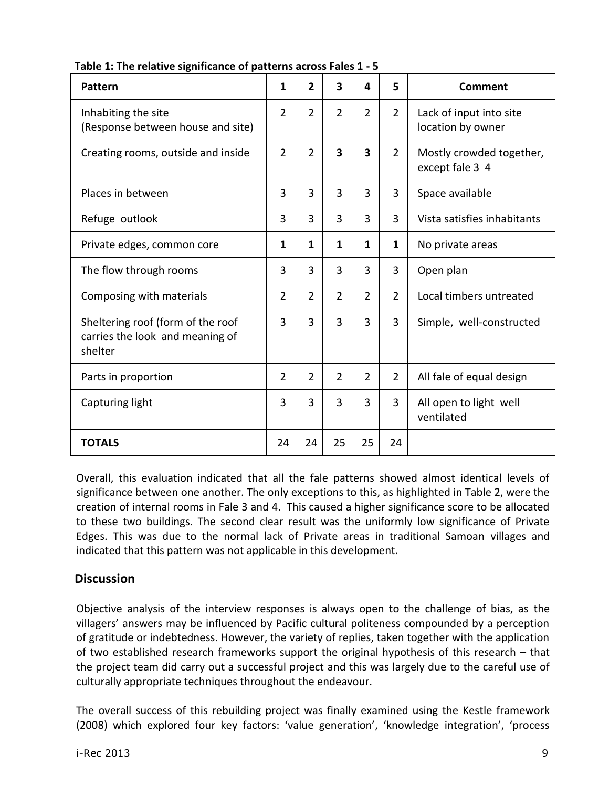| Pattern                                                                         | 1              | $\overline{2}$ | 3              | 4              | 5              | Comment                                      |
|---------------------------------------------------------------------------------|----------------|----------------|----------------|----------------|----------------|----------------------------------------------|
| Inhabiting the site<br>(Response between house and site)                        | $\overline{2}$ | $\overline{2}$ | $\overline{2}$ | $\overline{2}$ | $\overline{2}$ | Lack of input into site<br>location by owner |
| Creating rooms, outside and inside                                              | $\overline{2}$ | $\overline{2}$ | 3              | 3              | $\overline{2}$ | Mostly crowded together,<br>except fale 3 4  |
| Places in between                                                               | 3              | 3              | 3              | $\overline{3}$ | 3              | Space available                              |
| Refuge outlook                                                                  | 3              | 3              | 3              | 3              | 3              | Vista satisfies inhabitants                  |
| Private edges, common core                                                      | 1              | 1              | 1              | 1              | 1              | No private areas                             |
| The flow through rooms                                                          | 3              | 3              | 3              | 3              | 3              | Open plan                                    |
| Composing with materials                                                        | $\overline{2}$ | $\overline{2}$ | $\overline{2}$ | $\overline{2}$ | $\overline{2}$ | Local timbers untreated                      |
| Sheltering roof (form of the roof<br>carries the look and meaning of<br>shelter | 3              | 3              | 3              | $\overline{3}$ | 3              | Simple, well-constructed                     |
| Parts in proportion                                                             | $\overline{2}$ | $\overline{2}$ | $\overline{2}$ | $\overline{2}$ | $\overline{2}$ | All fale of equal design                     |
| Capturing light                                                                 | 3              | 3              | $\overline{3}$ | 3              | 3              | All open to light well<br>ventilated         |
| <b>TOTALS</b>                                                                   | 24             | 24             | 25             | 25             | 24             |                                              |

**Table 1: The relative significance of patterns across Fales 1 - 5**

Overall, this evaluation indicated that all the fale patterns showed almost identical levels of significance between one another. The only exceptions to this, as highlighted in Table 2, were the creation of internal rooms in Fale 3 and 4. This caused a higher significance score to be allocated to these two buildings. The second clear result was the uniformly low significance of Private Edges. This was due to the normal lack of Private areas in traditional Samoan villages and indicated that this pattern was not applicable in this development.

#### **Discussion**

Objective analysis of the interview responses is always open to the challenge of bias, as the villagers' answers may be influenced by Pacific cultural politeness compounded by a perception of gratitude or indebtedness. However, the variety of replies, taken together with the application of two established research frameworks support the original hypothesis of this research – that the project team did carry out a successful project and this was largely due to the careful use of culturally appropriate techniques throughout the endeavour.

The overall success of this rebuilding project was finally examined using the Kestle framework (2008) which explored four key factors: 'value generation', 'knowledge integration', 'process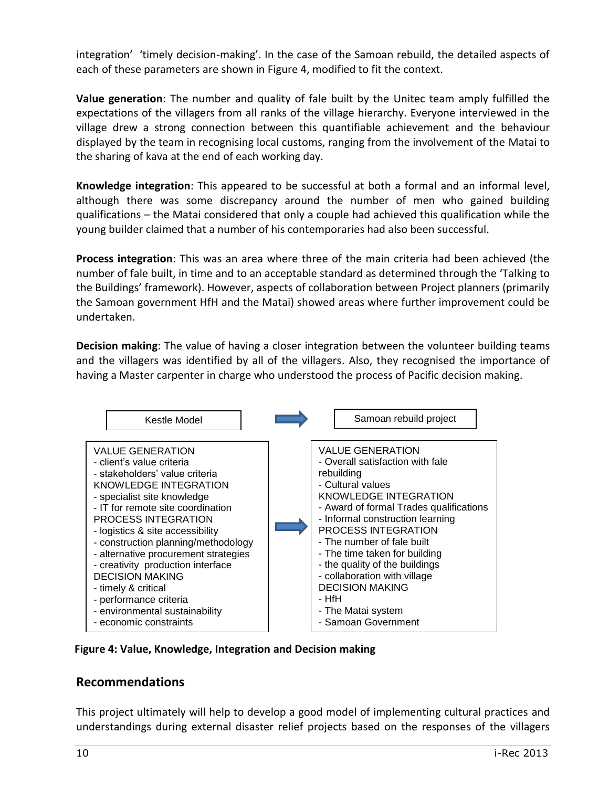integration' 'timely decision-making'. In the case of the Samoan rebuild, the detailed aspects of each of these parameters are shown in Figure 4, modified to fit the context.

**Value generation**: The number and quality of fale built by the Unitec team amply fulfilled the expectations of the villagers from all ranks of the village hierarchy. Everyone interviewed in the village drew a strong connection between this quantifiable achievement and the behaviour displayed by the team in recognising local customs, ranging from the involvement of the Matai to the sharing of kava at the end of each working day.

**Knowledge integration**: This appeared to be successful at both a formal and an informal level, although there was some discrepancy around the number of men who gained building qualifications – the Matai considered that only a couple had achieved this qualification while the young builder claimed that a number of his contemporaries had also been successful.

**Process integration**: This was an area where three of the main criteria had been achieved (the number of fale built, in time and to an acceptable standard as determined through the 'Talking to the Buildings' framework). However, aspects of collaboration between Project planners (primarily the Samoan government HfH and the Matai) showed areas where further improvement could be undertaken.

**Decision making**: The value of having a closer integration between the volunteer building teams and the villagers was identified by all of the villagers. Also, they recognised the importance of having a Master carpenter in charge who understood the process of Pacific decision making.



**Figure 4: Value, Knowledge, Integration and Decision making**

#### **Recommendations**

This project ultimately will help to develop a good model of implementing cultural practices and understandings during external disaster relief projects based on the responses of the villagers